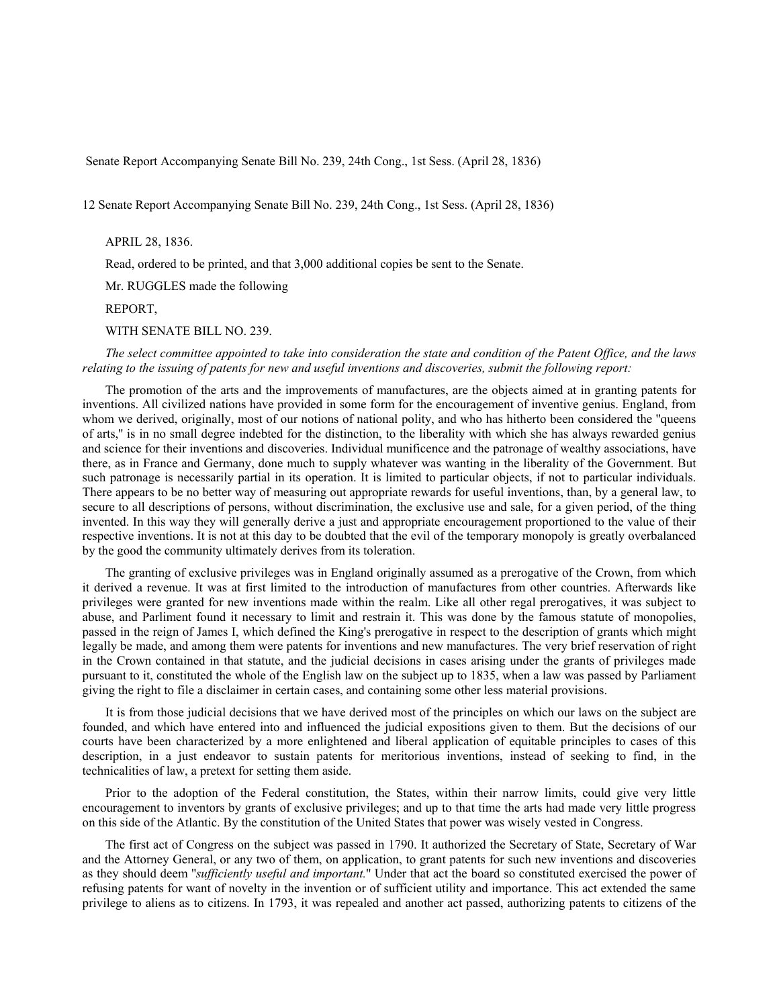Senate Report Accompanying Senate Bill No. 239, 24th Cong., 1st Sess. (April 28, 1836)

12 Senate Report Accompanying Senate Bill No. 239, 24th Cong., 1st Sess. (April 28, 1836)

APRIL 28, 1836.

Read, ordered to be printed, and that 3,000 additional copies be sent to the Senate.

Mr. RUGGLES made the following

REPORT,

WITH SENATE BILL NO. 239.

*The select committee appointed to take into consideration the state and condition of the Patent Office, and the laws relating to the issuing of patents for new and useful inventions and discoveries, submit the following report:*

The promotion of the arts and the improvements of manufactures, are the objects aimed at in granting patents for inventions. All civilized nations have provided in some form for the encouragement of inventive genius. England, from whom we derived, originally, most of our notions of national polity, and who has hitherto been considered the "queens" of arts,'' is in no small degree indebted for the distinction, to the liberality with which she has always rewarded genius and science for their inventions and discoveries. Individual munificence and the patronage of wealthy associations, have there, as in France and Germany, done much to supply whatever was wanting in the liberality of the Government. But such patronage is necessarily partial in its operation. It is limited to particular objects, if not to particular individuals. There appears to be no better way of measuring out appropriate rewards for useful inventions, than, by a general law, to secure to all descriptions of persons, without discrimination, the exclusive use and sale, for a given period, of the thing invented. In this way they will generally derive a just and appropriate encouragement proportioned to the value of their respective inventions. It is not at this day to be doubted that the evil of the temporary monopoly is greatly overbalanced by the good the community ultimately derives from its toleration.

The granting of exclusive privileges was in England originally assumed as a prerogative of the Crown, from which it derived a revenue. It was at first limited to the introduction of manufactures from other countries. Afterwards like privileges were granted for new inventions made within the realm. Like all other regal prerogatives, it was subject to abuse, and Parliment found it necessary to limit and restrain it. This was done by the famous statute of monopolies, passed in the reign of James I, which defined the King's prerogative in respect to the description of grants which might legally be made, and among them were patents for inventions and new manufactures. The very brief reservation of right in the Crown contained in that statute, and the judicial decisions in cases arising under the grants of privileges made pursuant to it, constituted the whole of the English law on the subject up to 1835, when a law was passed by Parliament giving the right to file a disclaimer in certain cases, and containing some other less material provisions.

It is from those judicial decisions that we have derived most of the principles on which our laws on the subject are founded, and which have entered into and influenced the judicial expositions given to them. But the decisions of our courts have been characterized by a more enlightened and liberal application of equitable principles to cases of this description, in a just endeavor to sustain patents for meritorious inventions, instead of seeking to find, in the technicalities of law, a pretext for setting them aside.

Prior to the adoption of the Federal constitution, the States, within their narrow limits, could give very little encouragement to inventors by grants of exclusive privileges; and up to that time the arts had made very little progress on this side of the Atlantic. By the constitution of the United States that power was wisely vested in Congress.

The first act of Congress on the subject was passed in 1790. It authorized the Secretary of State, Secretary of War and the Attorney General, or any two of them, on application, to grant patents for such new inventions and discoveries as they should deem ''*sufficiently useful and important.*'' Under that act the board so constituted exercised the power of refusing patents for want of novelty in the invention or of sufficient utility and importance. This act extended the same privilege to aliens as to citizens. In 1793, it was repealed and another act passed, authorizing patents to citizens of the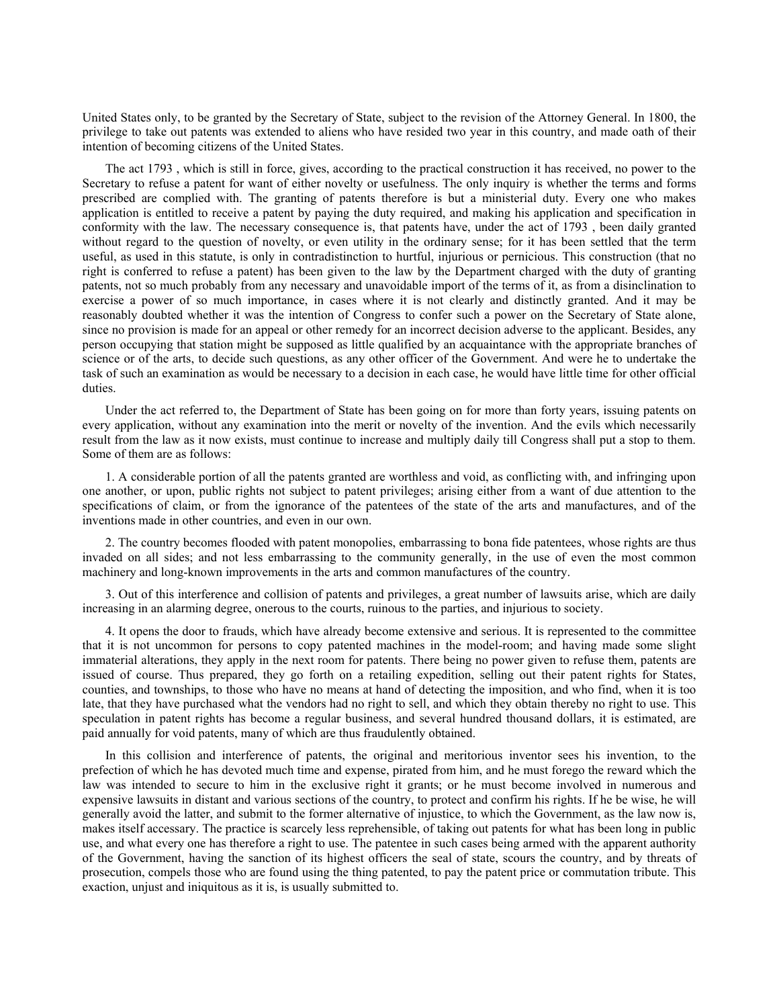United States only, to be granted by the Secretary of State, subject to the revision of the Attorney General. In 1800, the privilege to take out patents was extended to aliens who have resided two year in this country, and made oath of their intention of becoming citizens of the United States.

The act 1793 , which is still in force, gives, according to the practical construction it has received, no power to the Secretary to refuse a patent for want of either novelty or usefulness. The only inquiry is whether the terms and forms prescribed are complied with. The granting of patents therefore is but a ministerial duty. Every one who makes application is entitled to receive a patent by paying the duty required, and making his application and specification in conformity with the law. The necessary consequence is, that patents have, under the act of 1793 , been daily granted without regard to the question of novelty, or even utility in the ordinary sense; for it has been settled that the term useful, as used in this statute, is only in contradistinction to hurtful, injurious or pernicious. This construction (that no right is conferred to refuse a patent) has been given to the law by the Department charged with the duty of granting patents, not so much probably from any necessary and unavoidable import of the terms of it, as from a disinclination to exercise a power of so much importance, in cases where it is not clearly and distinctly granted. And it may be reasonably doubted whether it was the intention of Congress to confer such a power on the Secretary of State alone, since no provision is made for an appeal or other remedy for an incorrect decision adverse to the applicant. Besides, any person occupying that station might be supposed as little qualified by an acquaintance with the appropriate branches of science or of the arts, to decide such questions, as any other officer of the Government. And were he to undertake the task of such an examination as would be necessary to a decision in each case, he would have little time for other official duties.

Under the act referred to, the Department of State has been going on for more than forty years, issuing patents on every application, without any examination into the merit or novelty of the invention. And the evils which necessarily result from the law as it now exists, must continue to increase and multiply daily till Congress shall put a stop to them. Some of them are as follows:

1. A considerable portion of all the patents granted are worthless and void, as conflicting with, and infringing upon one another, or upon, public rights not subject to patent privileges; arising either from a want of due attention to the specifications of claim, or from the ignorance of the patentees of the state of the arts and manufactures, and of the inventions made in other countries, and even in our own.

2. The country becomes flooded with patent monopolies, embarrassing to bona fide patentees, whose rights are thus invaded on all sides; and not less embarrassing to the community generally, in the use of even the most common machinery and long-known improvements in the arts and common manufactures of the country.

3. Out of this interference and collision of patents and privileges, a great number of lawsuits arise, which are daily increasing in an alarming degree, onerous to the courts, ruinous to the parties, and injurious to society.

4. It opens the door to frauds, which have already become extensive and serious. It is represented to the committee that it is not uncommon for persons to copy patented machines in the model-room; and having made some slight immaterial alterations, they apply in the next room for patents. There being no power given to refuse them, patents are issued of course. Thus prepared, they go forth on a retailing expedition, selling out their patent rights for States, counties, and townships, to those who have no means at hand of detecting the imposition, and who find, when it is too late, that they have purchased what the vendors had no right to sell, and which they obtain thereby no right to use. This speculation in patent rights has become a regular business, and several hundred thousand dollars, it is estimated, are paid annually for void patents, many of which are thus fraudulently obtained.

In this collision and interference of patents, the original and meritorious inventor sees his invention, to the prefection of which he has devoted much time and expense, pirated from him, and he must forego the reward which the law was intended to secure to him in the exclusive right it grants; or he must become involved in numerous and expensive lawsuits in distant and various sections of the country, to protect and confirm his rights. If he be wise, he will generally avoid the latter, and submit to the former alternative of injustice, to which the Government, as the law now is, makes itself accessary. The practice is scarcely less reprehensible, of taking out patents for what has been long in public use, and what every one has therefore a right to use. The patentee in such cases being armed with the apparent authority of the Government, having the sanction of its highest officers the seal of state, scours the country, and by threats of prosecution, compels those who are found using the thing patented, to pay the patent price or commutation tribute. This exaction, unjust and iniquitous as it is, is usually submitted to.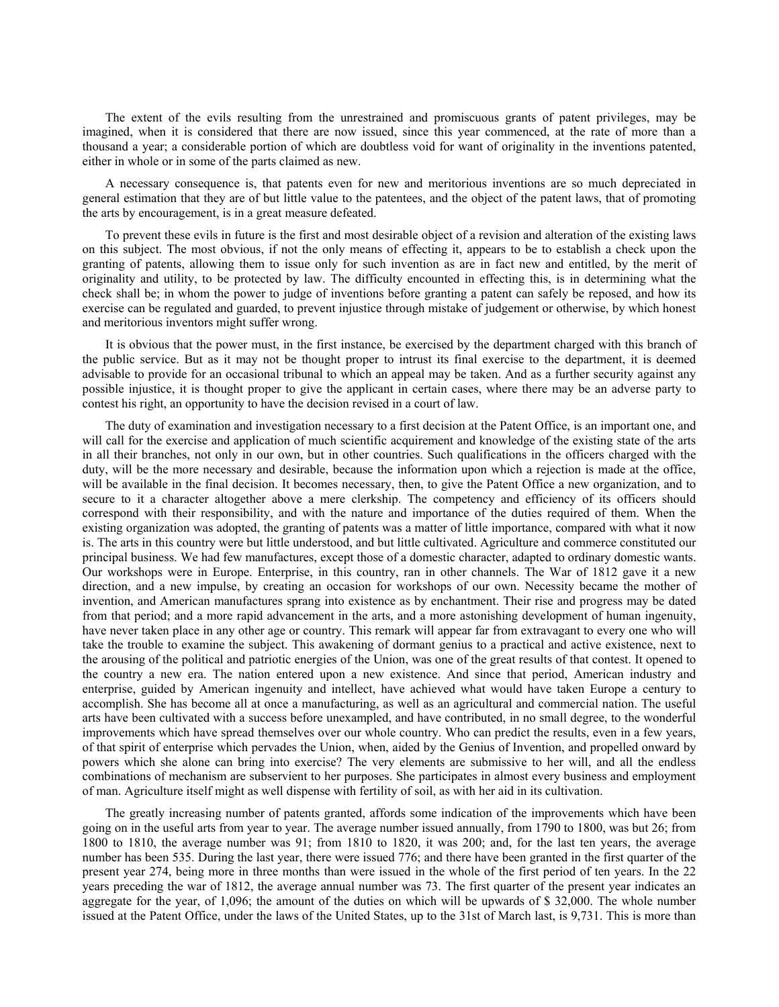The extent of the evils resulting from the unrestrained and promiscuous grants of patent privileges, may be imagined, when it is considered that there are now issued, since this year commenced, at the rate of more than a thousand a year; a considerable portion of which are doubtless void for want of originality in the inventions patented, either in whole or in some of the parts claimed as new.

A necessary consequence is, that patents even for new and meritorious inventions are so much depreciated in general estimation that they are of but little value to the patentees, and the object of the patent laws, that of promoting the arts by encouragement, is in a great measure defeated.

To prevent these evils in future is the first and most desirable object of a revision and alteration of the existing laws on this subject. The most obvious, if not the only means of effecting it, appears to be to establish a check upon the granting of patents, allowing them to issue only for such invention as are in fact new and entitled, by the merit of originality and utility, to be protected by law. The difficulty encounted in effecting this, is in determining what the check shall be; in whom the power to judge of inventions before granting a patent can safely be reposed, and how its exercise can be regulated and guarded, to prevent injustice through mistake of judgement or otherwise, by which honest and meritorious inventors might suffer wrong.

It is obvious that the power must, in the first instance, be exercised by the department charged with this branch of the public service. But as it may not be thought proper to intrust its final exercise to the department, it is deemed advisable to provide for an occasional tribunal to which an appeal may be taken. And as a further security against any possible injustice, it is thought proper to give the applicant in certain cases, where there may be an adverse party to contest his right, an opportunity to have the decision revised in a court of law.

The duty of examination and investigation necessary to a first decision at the Patent Office, is an important one, and will call for the exercise and application of much scientific acquirement and knowledge of the existing state of the arts in all their branches, not only in our own, but in other countries. Such qualifications in the officers charged with the duty, will be the more necessary and desirable, because the information upon which a rejection is made at the office, will be available in the final decision. It becomes necessary, then, to give the Patent Office a new organization, and to secure to it a character altogether above a mere clerkship. The competency and efficiency of its officers should correspond with their responsibility, and with the nature and importance of the duties required of them. When the existing organization was adopted, the granting of patents was a matter of little importance, compared with what it now is. The arts in this country were but little understood, and but little cultivated. Agriculture and commerce constituted our principal business. We had few manufactures, except those of a domestic character, adapted to ordinary domestic wants. Our workshops were in Europe. Enterprise, in this country, ran in other channels. The War of 1812 gave it a new direction, and a new impulse, by creating an occasion for workshops of our own. Necessity became the mother of invention, and American manufactures sprang into existence as by enchantment. Their rise and progress may be dated from that period; and a more rapid advancement in the arts, and a more astonishing development of human ingenuity, have never taken place in any other age or country. This remark will appear far from extravagant to every one who will take the trouble to examine the subject. This awakening of dormant genius to a practical and active existence, next to the arousing of the political and patriotic energies of the Union, was one of the great results of that contest. It opened to the country a new era. The nation entered upon a new existence. And since that period, American industry and enterprise, guided by American ingenuity and intellect, have achieved what would have taken Europe a century to accomplish. She has become all at once a manufacturing, as well as an agricultural and commercial nation. The useful arts have been cultivated with a success before unexampled, and have contributed, in no small degree, to the wonderful improvements which have spread themselves over our whole country. Who can predict the results, even in a few years, of that spirit of enterprise which pervades the Union, when, aided by the Genius of Invention, and propelled onward by powers which she alone can bring into exercise? The very elements are submissive to her will, and all the endless combinations of mechanism are subservient to her purposes. She participates in almost every business and employment of man. Agriculture itself might as well dispense with fertility of soil, as with her aid in its cultivation.

The greatly increasing number of patents granted, affords some indication of the improvements which have been going on in the useful arts from year to year. The average number issued annually, from 1790 to 1800, was but 26; from 1800 to 1810, the average number was 91; from 1810 to 1820, it was 200; and, for the last ten years, the average number has been 535. During the last year, there were issued 776; and there have been granted in the first quarter of the present year 274, being more in three months than were issued in the whole of the first period of ten years. In the 22 years preceding the war of 1812, the average annual number was 73. The first quarter of the present year indicates an aggregate for the year, of 1,096; the amount of the duties on which will be upwards of \$ 32,000. The whole number issued at the Patent Office, under the laws of the United States, up to the 31st of March last, is 9,731. This is more than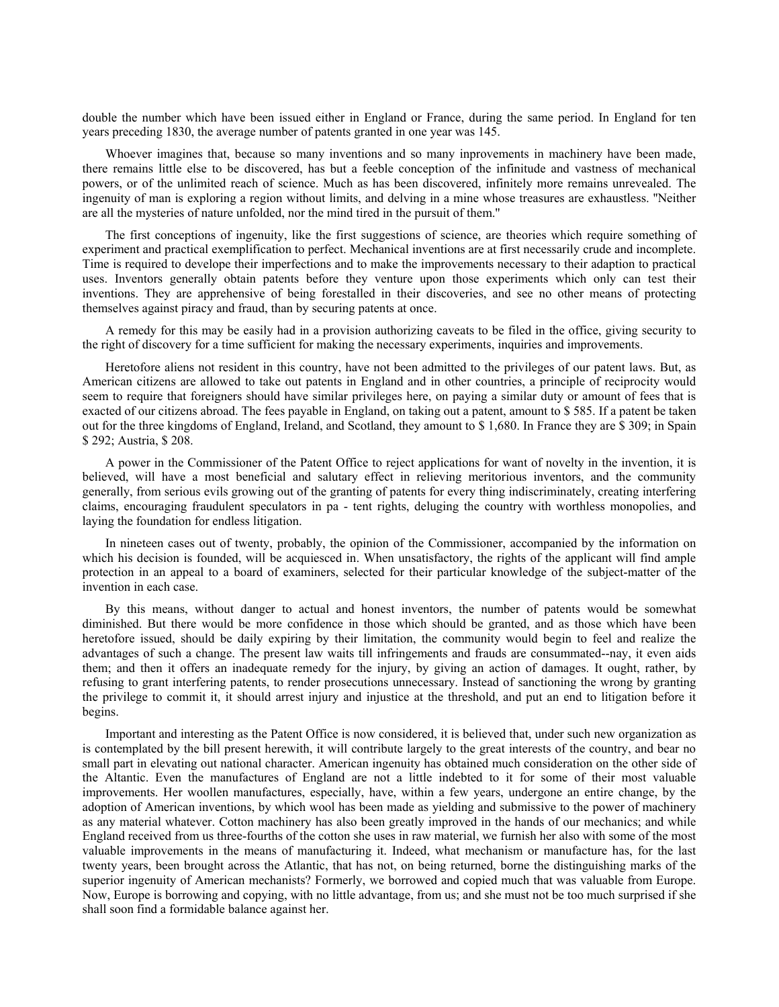double the number which have been issued either in England or France, during the same period. In England for ten years preceding 1830, the average number of patents granted in one year was 145.

Whoever imagines that, because so many inventions and so many inprovements in machinery have been made, there remains little else to be discovered, has but a feeble conception of the infinitude and vastness of mechanical powers, or of the unlimited reach of science. Much as has been discovered, infinitely more remains unrevealed. The ingenuity of man is exploring a region without limits, and delving in a mine whose treasures are exhaustless. ''Neither are all the mysteries of nature unfolded, nor the mind tired in the pursuit of them.''

The first conceptions of ingenuity, like the first suggestions of science, are theories which require something of experiment and practical exemplification to perfect. Mechanical inventions are at first necessarily crude and incomplete. Time is required to develope their imperfections and to make the improvements necessary to their adaption to practical uses. Inventors generally obtain patents before they venture upon those experiments which only can test their inventions. They are apprehensive of being forestalled in their discoveries, and see no other means of protecting themselves against piracy and fraud, than by securing patents at once.

A remedy for this may be easily had in a provision authorizing caveats to be filed in the office, giving security to the right of discovery for a time sufficient for making the necessary experiments, inquiries and improvements.

Heretofore aliens not resident in this country, have not been admitted to the privileges of our patent laws. But, as American citizens are allowed to take out patents in England and in other countries, a principle of reciprocity would seem to require that foreigners should have similar privileges here, on paying a similar duty or amount of fees that is exacted of our citizens abroad. The fees payable in England, on taking out a patent, amount to \$ 585. If a patent be taken out for the three kingdoms of England, Ireland, and Scotland, they amount to \$ 1,680. In France they are \$ 309; in Spain \$ 292; Austria, \$ 208.

A power in the Commissioner of the Patent Office to reject applications for want of novelty in the invention, it is believed, will have a most beneficial and salutary effect in relieving meritorious inventors, and the community generally, from serious evils growing out of the granting of patents for every thing indiscriminately, creating interfering claims, encouraging fraudulent speculators in pa - tent rights, deluging the country with worthless monopolies, and laying the foundation for endless litigation.

In nineteen cases out of twenty, probably, the opinion of the Commissioner, accompanied by the information on which his decision is founded, will be acquiesced in. When unsatisfactory, the rights of the applicant will find ample protection in an appeal to a board of examiners, selected for their particular knowledge of the subject-matter of the invention in each case.

By this means, without danger to actual and honest inventors, the number of patents would be somewhat diminished. But there would be more confidence in those which should be granted, and as those which have been heretofore issued, should be daily expiring by their limitation, the community would begin to feel and realize the advantages of such a change. The present law waits till infringements and frauds are consummated--nay, it even aids them; and then it offers an inadequate remedy for the injury, by giving an action of damages. It ought, rather, by refusing to grant interfering patents, to render prosecutions unnecessary. Instead of sanctioning the wrong by granting the privilege to commit it, it should arrest injury and injustice at the threshold, and put an end to litigation before it begins.

Important and interesting as the Patent Office is now considered, it is believed that, under such new organization as is contemplated by the bill present herewith, it will contribute largely to the great interests of the country, and bear no small part in elevating out national character. American ingenuity has obtained much consideration on the other side of the Altantic. Even the manufactures of England are not a little indebted to it for some of their most valuable improvements. Her woollen manufactures, especially, have, within a few years, undergone an entire change, by the adoption of American inventions, by which wool has been made as yielding and submissive to the power of machinery as any material whatever. Cotton machinery has also been greatly improved in the hands of our mechanics; and while England received from us three-fourths of the cotton she uses in raw material, we furnish her also with some of the most valuable improvements in the means of manufacturing it. Indeed, what mechanism or manufacture has, for the last twenty years, been brought across the Atlantic, that has not, on being returned, borne the distinguishing marks of the superior ingenuity of American mechanists? Formerly, we borrowed and copied much that was valuable from Europe. Now, Europe is borrowing and copying, with no little advantage, from us; and she must not be too much surprised if she shall soon find a formidable balance against her.